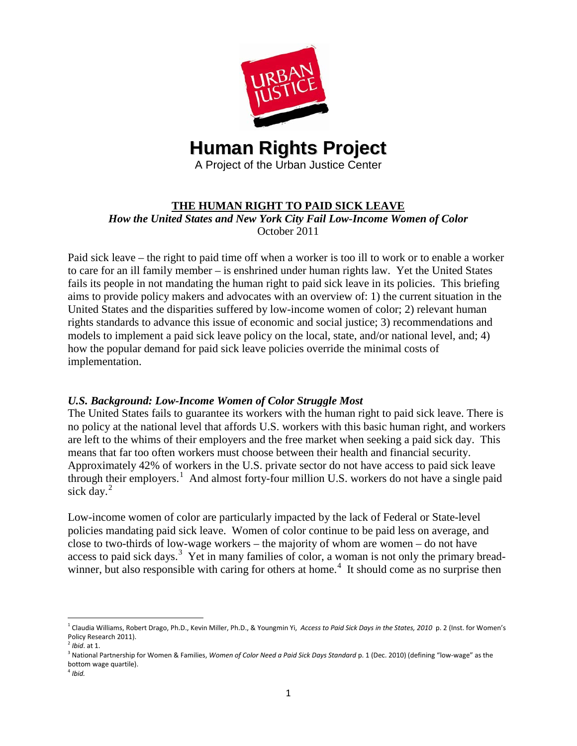

# **THE HUMAN RIGHT TO PAID SICK LEAVE** *How the United States and New York City Fail Low-Income Women of Color* October 2011

Paid sick leave – the right to paid time off when a worker is too ill to work or to enable a worker to care for an ill family member – is enshrined under human rights law. Yet the United States fails its people in not mandating the human right to paid sick leave in its policies. This briefing aims to provide policy makers and advocates with an overview of: 1) the current situation in the United States and the disparities suffered by low-income women of color; 2) relevant human rights standards to advance this issue of economic and social justice; 3) recommendations and models to implement a paid sick leave policy on the local, state, and/or national level, and; 4) how the popular demand for paid sick leave policies override the minimal costs of implementation.

# *U.S. Background: Low-Income Women of Color Struggle Most*

The United States fails to guarantee its workers with the human right to paid sick leave. There is no policy at the national level that affords U.S. workers with this basic human right, and workers are left to the whims of their employers and the free market when seeking a paid sick day. This means that far too often workers must choose between their health and financial security. Approximately 42% of workers in the U.S. private sector do not have access to paid sick leave through their employers.<sup>[1](#page-0-0)</sup> And almost forty-four million U.S. workers do not have a single paid sick day. $^{2}$  $^{2}$  $^{2}$ 

<span id="page-0-4"></span>Low-income women of color are particularly impacted by the lack of Federal or State-level policies mandating paid sick leave. Women of color continue to be paid less on average, and close to two-thirds of low-wage workers – the majority of whom are women – do not have access to paid sick days.<sup>[3](#page-0-2)</sup> Yet in many families of color, a woman is not only the primary bread-winner, but also responsible with caring for others at home.<sup>[4](#page-0-3)</sup> It should come as no surprise then

<span id="page-0-0"></span> <sup>1</sup> Claudia Williams, Robert Drago, Ph.D., Kevin Miller, Ph.D., & Youngmin Yi, *Access to Paid Sick Days in the States, 2010* p. 2 (Inst. for Women's Policy Research 2011).

<span id="page-0-1"></span><sup>2</sup> *Ibid*. at 1.

<span id="page-0-2"></span><sup>3</sup> National Partnership for Women & Families, *Women of Color Need a Paid Sick Days Standard* p. 1 (Dec. 2010) (defining "low-wage" as the bottom wage quartile).

<span id="page-0-3"></span><sup>4</sup> *Ibid.*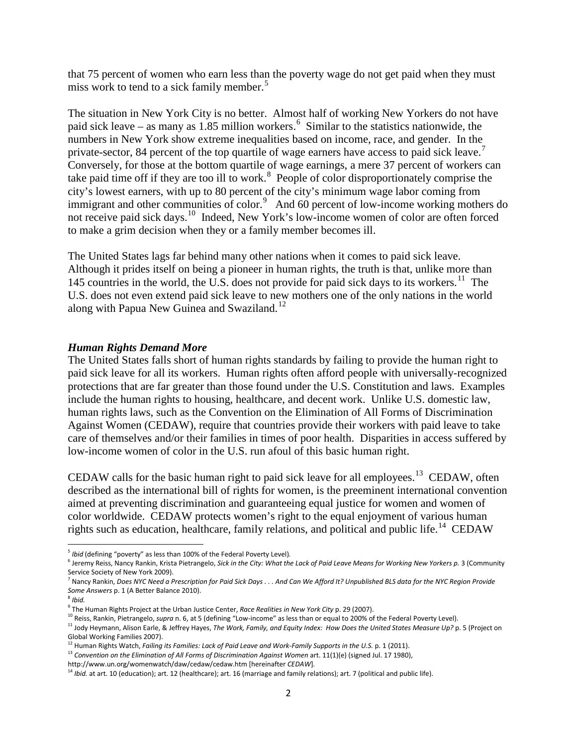that 75 percent of women who earn less than the poverty wage do not get paid when they must miss work to tend to a sick family member.<sup>[5](#page-0-4)</sup>

The situation in New York City is no better. Almost half of working New Yorkers do not have paid sick leave – as many as 1.85 million workers.<sup>[6](#page-1-0)</sup> Similar to the statistics nationwide, the numbers in New York show extreme inequalities based on income, race, and gender. In the private-sector, 84 percent of the top quartile of wage earners have access to paid sick leave.<sup>[7](#page-1-1)</sup> Conversely, for those at the bottom quartile of wage earnings, a mere 37 percent of workers can take paid time off if they are too ill to work.<sup>[8](#page-1-2)</sup> People of color disproportionately comprise the city's lowest earners, with up to 80 percent of the city's minimum wage labor coming from immigrant and other communities of color.<sup>[9](#page-1-3)</sup> And 60 percent of low-income working mothers do not receive paid sick days.[10](#page-1-4) Indeed, New York's low-income women of color are often forced to make a grim decision when they or a family member becomes ill.

The United States lags far behind many other nations when it comes to paid sick leave. Although it prides itself on being a pioneer in human rights, the truth is that, unlike more than 145 countries in the world, the U.S. does not provide for paid sick days to its workers.<sup>11</sup> The U.S. does not even extend paid sick leave to new mothers one of the only nations in the world along with Papua New Guinea and Swaziland.<sup>[12](#page-1-6)</sup>

### *Human Rights Demand More*

The United States falls short of human rights standards by failing to provide the human right to paid sick leave for all its workers. Human rights often afford people with universally-recognized protections that are far greater than those found under the U.S. Constitution and laws. Examples include the human rights to housing, healthcare, and decent work. Unlike U.S. domestic law, human rights laws, such as the Convention on the Elimination of All Forms of Discrimination Against Women (CEDAW), require that countries provide their workers with paid leave to take care of themselves and/or their families in times of poor health. Disparities in access suffered by low-income women of color in the U.S. run afoul of this basic human right.

CEDAW calls for the basic human right to paid sick leave for all employees.<sup>[13](#page-1-7)</sup> CEDAW, often described as the international bill of rights for women, is the preeminent international convention aimed at preventing discrimination and guaranteeing equal justice for women and women of color worldwide. CEDAW protects women's right to the equal enjoyment of various human rights such as education, healthcare, family relations, and political and public life.<sup>14</sup> CEDAW

<span id="page-1-4"></span><span id="page-1-3"></span><sup>10</sup> Reiss, Rankin, Pietrangelo, *supra* n. 6, at 5 (defining "Low-income" as less than or equal to 200% of the Federal Poverty Level).

<span id="page-1-8"></span>http://www.un.org/womenwatch/daw/cedaw/cedaw.htm [hereinafter *CEDAW*]*.*

<span id="page-1-0"></span><sup>&</sup>lt;sup>5</sup> Ibid (defining "poverty" as less than 100% of the Federal Poverty Level).<br><sup>6</sup> Jeremy Reiss, Nancy Rankin, Krista Pietrangelo, *Sick in the City: What the Lack of Paid Leave Means for Working New Yorkers p.* 3 (Communit Service Society of New York 2009).<br><sup>7</sup> Nancy Rankin, *Does NYC Need a Prescription for Paid Sick Days . . . And Can We Afford It? Unpublished BLS data for the NYC Region Provide* 

<span id="page-1-9"></span><span id="page-1-1"></span>*Some Answers* p. 1 (A Better Balance 2010).

<span id="page-1-2"></span><sup>&</sup>lt;sup>8</sup> Ibid.<br><sup>9</sup> The Human Rights Project at the Urban Justice Center, *Race Realities in New York City* p. 29 (2007).

<span id="page-1-5"></span><sup>11</sup> Jody Heymann, Alison Earle, & Jeffrey Hayes, *The Work, Family, and Equity Index: How Does the United States Measure Up?* p. 5 (Project on Global Working Families 2007).

<sup>&</sup>lt;sup>12</sup> Human Rights Watch, *Failing its Families: Lack of Paid Leave and Work-Family Supports in the U.S.* p. 1 (2011).

<span id="page-1-7"></span><span id="page-1-6"></span><sup>&</sup>lt;sup>13</sup> Convention on the Elimination of All Forms of Discrimination Against Women art. 11(1)(e) (signed Jul. 17 1980),

<sup>&</sup>lt;sup>14</sup> Ibid. at art. 10 (education); art. 12 (healthcare); art. 16 (marriage and family relations); art. 7 (political and public life).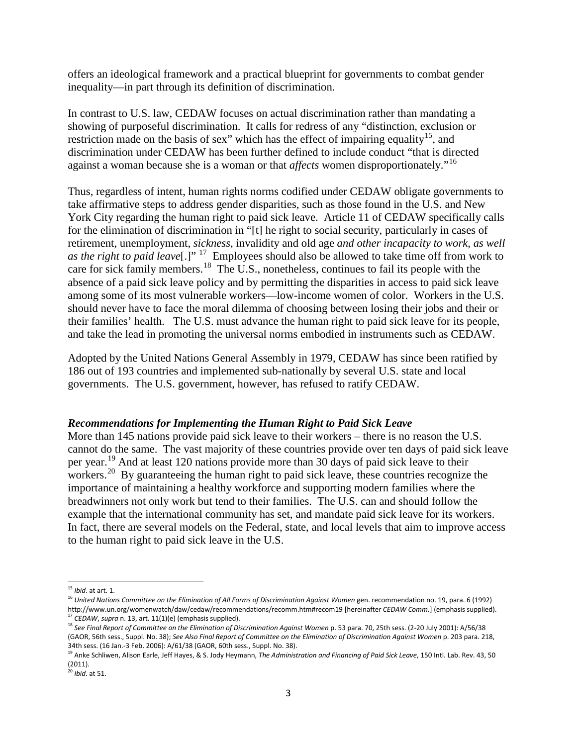offers an ideological framework and a practical blueprint for governments to combat gender inequality—in part through its definition of discrimination.

In contrast to U.S. law, CEDAW focuses on actual discrimination rather than mandating a showing of purposeful discrimination. It calls for redress of any "distinction, exclusion or restriction made on the basis of sex" which has the effect of impairing equality<sup>[15](#page-1-9)</sup>, and discrimination under CEDAW has been further defined to include conduct "that is directed against a woman because she is a woman or that *affects* women disproportionately."[16](#page-2-0)

Thus, regardless of intent, human rights norms codified under CEDAW obligate governments to take affirmative steps to address gender disparities, such as those found in the U.S. and New York City regarding the human right to paid sick leave. Article 11 of CEDAW specifically calls for the elimination of discrimination in "[t] he right to social security, particularly in cases of retirement, unemployment, *sickness*, invalidity and old age *and other incapacity to work, as well as the right to paid leave*[.]"<sup>17</sup> Employees should also be allowed to take time off from work to care for sick family members.<sup>[18](#page-2-2)</sup> The U.S., nonetheless, continues to fail its people with the absence of a paid sick leave policy and by permitting the disparities in access to paid sick leave among some of its most vulnerable workers—low-income women of color. Workers in the U.S. should never have to face the moral dilemma of choosing between losing their jobs and their or their families' health. The U.S. must advance the human right to paid sick leave for its people, and take the lead in promoting the universal norms embodied in instruments such as CEDAW.

Adopted by the United Nations General Assembly in 1979, CEDAW has since been ratified by 186 out of 193 countries and implemented sub-nationally by several U.S. state and local governments. The U.S. government, however, has refused to ratify CEDAW.

### *Recommendations for Implementing the Human Right to Paid Sick Leave*

More than 145 nations provide paid sick leave to their workers – there is no reason the U.S. cannot do the same. The vast majority of these countries provide over ten days of paid sick leave per year.[19](#page-2-3) And at least 120 nations provide more than 30 days of paid sick leave to their workers.<sup>[20](#page-2-4)</sup> By guaranteeing the human right to paid sick leave, these countries recognize the importance of maintaining a healthy workforce and supporting modern families where the breadwinners not only work but tend to their families. The U.S. can and should follow the example that the international community has set, and mandate paid sick leave for its workers. In fact, there are several models on the Federal, state, and local levels that aim to improve access to the human right to paid sick leave in the U.S.

<span id="page-2-5"></span> <sup>15</sup> *Ibid*. at art. 1.

<span id="page-2-0"></span><sup>16</sup> *United Nations Committee on the Elimination of All Forms of Discrimination Against Women* gen. recommendation no. 19, para. 6 (1992) http://www.un.org/womenwatch/daw/cedaw/recommendations/recomm.htm#recom19 [hereinafter *CEDAW Comm.*] (emphasis supplied).<br><sup>17</sup> *CEDAW, supra* n. 13, art. 11(1)(e) (emphasis supplied).

<span id="page-2-2"></span><span id="page-2-1"></span><sup>18</sup> *See Final Report of Committee on the Elimination of Discrimination Against Women* p. 53 para. 70, 25th sess. (2-20 July 2001): A/56/38 (GAOR, 56th sess., Suppl. No. 38); *See Also Final Report of Committee on the Elimination of Discrimination Against Women* p. 203 para. 218, 34th sess. (16 Jan.-3 Feb. 2006): A/61/38 (GAOR, 60th sess., Suppl. No. 38).

<span id="page-2-3"></span><sup>19</sup> Anke Schliwen, Alison Earle, Jeff Hayes, & S. Jody Heymann, *The Administration and Financing of Paid Sick Leave*, 150 Intl. Lab. Rev. 43, 50 (2011).

<span id="page-2-4"></span><sup>20</sup> *Ibid*. at 51.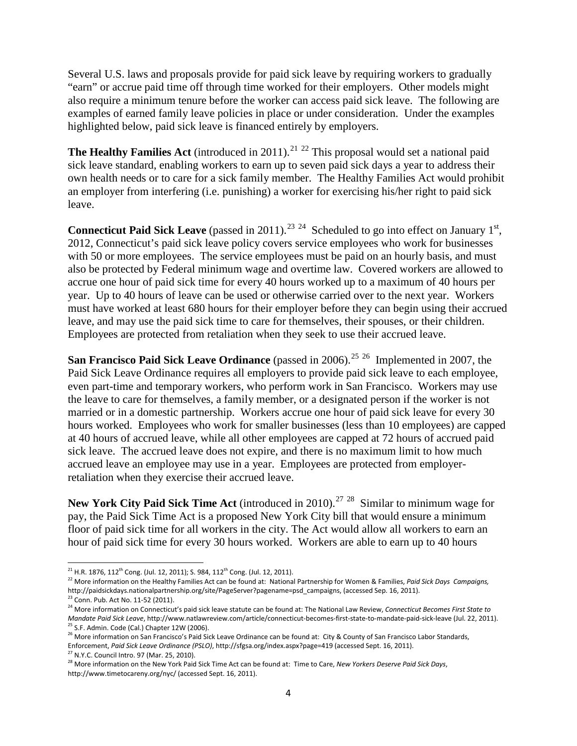Several U.S. laws and proposals provide for paid sick leave by requiring workers to gradually "earn" or accrue paid time off through time worked for their employers. Other models might also require a minimum tenure before the worker can access paid sick leave. The following are examples of earned family leave policies in place or under consideration. Under the examples highlighted below, paid sick leave is financed entirely by employers.

**The Healthy Families Act** (introduced in 2011).<sup>[21](#page-2-5)</sup> <sup>[22](#page-3-0)</sup> This proposal would set a national paid sick leave standard, enabling workers to earn up to seven paid sick days a year to address their own health needs or to care for a sick family member. The Healthy Families Act would prohibit an employer from interfering (i.e. punishing) a worker for exercising his/her right to paid sick leave.

**Connecticut Paid Sick Leave** (passed in 2011).<sup>[23](#page-3-1) 24</sup> Scheduled to go into effect on January  $1<sup>st</sup>$ , 2012, Connecticut's paid sick leave policy covers service employees who work for businesses with 50 or more employees. The service employees must be paid on an hourly basis, and must also be protected by Federal minimum wage and overtime law. Covered workers are allowed to accrue one hour of paid sick time for every 40 hours worked up to a maximum of 40 hours per year. Up to 40 hours of leave can be used or otherwise carried over to the next year. Workers must have worked at least 680 hours for their employer before they can begin using their accrued leave, and may use the paid sick time to care for themselves, their spouses, or their children. Employees are protected from retaliation when they seek to use their accrued leave.

**San Francisco Paid Sick Leave Ordinance** (passed in 2006).<sup>[25](#page-3-3) 26</sup> Implemented in 2007, the Paid Sick Leave Ordinance requires all employers to provide paid sick leave to each employee, even part-time and temporary workers, who perform work in San Francisco. Workers may use the leave to care for themselves, a family member, or a designated person if the worker is not married or in a domestic partnership. Workers accrue one hour of paid sick leave for every 30 hours worked. Employees who work for smaller businesses (less than 10 employees) are capped at 40 hours of accrued leave, while all other employees are capped at 72 hours of accrued paid sick leave. The accrued leave does not expire, and there is no maximum limit to how much accrued leave an employee may use in a year. Employees are protected from employerretaliation when they exercise their accrued leave.

**New York City Paid Sick Time Act** (introduced in 2010). [27](#page-3-5) [28](#page-3-6) Similar to minimum wage for pay, the Paid Sick Time Act is a proposed New York City bill that would ensure a minimum floor of paid sick time for all workers in the city. The Act would allow all workers to earn an hour of paid sick time for every 30 hours worked. Workers are able to earn up to 40 hours

 $^{21}$  H.R. 1876, 112<sup>th</sup> Cong. (Jul. 12, 2011); S. 984, 112<sup>th</sup> Cong. (Jul. 12, 2011).

<span id="page-3-7"></span><span id="page-3-0"></span><sup>22</sup> More information on the Healthy Families Act can be found at: National Partnership for Women & Families, *Paid Sick Days Campaigns,* http://paidsickdays.nationalpartnership.org/site/PageServer?pagename=psd\_campaigns, (accessed Sep. 16, 2011).<br><sup>23</sup> Conn. Pub. Act No. 11-52 (2011).

<span id="page-3-2"></span><span id="page-3-1"></span><sup>&</sup>lt;sup>24</sup> More information on Connecticut's paid sick leave statute can be found at: The National Law Review, Connecticut Becomes First State to Mandate Paid Sick Leave, http://www.natlawreview.com/article/connecticut-becomes-first-state-to-mandate-paid-sick-leave (Jul. 22, 2011).<br><sup>25</sup> S.F. Admin. Code (Cal.) Chapter 12W (2006).<br><sup>26</sup> More information on San Francis

<span id="page-3-4"></span><span id="page-3-3"></span>Enforcement, *Paid Sick Leave Ordinance (PSLO)*, http://sfgsa.org/index.aspx?page=419 (accessed Sept. 16, 2011).

<span id="page-3-6"></span><span id="page-3-5"></span><sup>&</sup>lt;sup>28</sup> More information on the New York Paid Sick Time Act can be found at: Time to Care, *New Yorkers Deserve Paid Sick Days*, http://www.timetocareny.org/nyc/ (accessed Sept. 16, 2011).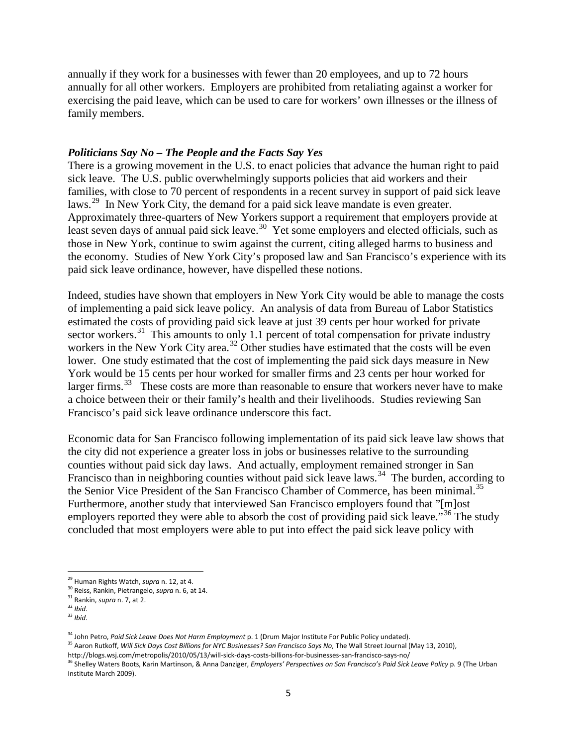annually if they work for a businesses with fewer than 20 employees, and up to 72 hours annually for all other workers. Employers are prohibited from retaliating against a worker for exercising the paid leave, which can be used to care for workers' own illnesses or the illness of family members.

#### *Politicians Say No – The People and the Facts Say Yes*

There is a growing movement in the U.S. to enact policies that advance the human right to paid sick leave. The U.S. public overwhelmingly supports policies that aid workers and their families, with close to 70 percent of respondents in a recent survey in support of paid sick leave laws.<sup>29</sup> In New York City, the demand for a paid sick leave mandate is even greater. Approximately three-quarters of New Yorkers support a requirement that employers provide at least seven days of annual paid sick leave.<sup>[30](#page-4-0)</sup> Yet some employers and elected officials, such as those in New York, continue to swim against the current, citing alleged harms to business and the economy. Studies of New York City's proposed law and San Francisco's experience with its paid sick leave ordinance, however, have dispelled these notions.

Indeed, studies have shown that employers in New York City would be able to manage the costs of implementing a paid sick leave policy. An analysis of data from Bureau of Labor Statistics estimated the costs of providing paid sick leave at just 39 cents per hour worked for private sector workers. $31$  This amounts to only 1.1 percent of total compensation for private industry workers in the New York City area.<sup>[32](#page-4-2)</sup> Other studies have estimated that the costs will be even lower. One study estimated that the cost of implementing the paid sick days measure in New York would be 15 cents per hour worked for smaller firms and 23 cents per hour worked for larger firms.<sup>[33](#page-4-3)</sup> These costs are more than reasonable to ensure that workers never have to make a choice between their or their family's health and their livelihoods. Studies reviewing San Francisco's paid sick leave ordinance underscore this fact.

Economic data for San Francisco following implementation of its paid sick leave law shows that the city did not experience a greater loss in jobs or businesses relative to the surrounding counties without paid sick day laws. And actually, employment remained stronger in San Francisco than in neighboring counties without paid sick leave laws.<sup>[34](#page-4-4)</sup> The burden, according to the Senior Vice President of the San Francisco Chamber of Commerce, has been minimal.<sup>[35](#page-4-5)</sup> Furthermore, another study that interviewed San Francisco employers found that "[m]ost employers reported they were able to absorb the cost of providing paid sick leave."<sup>[36](#page-4-6)</sup> The study concluded that most employers were able to put into effect the paid sick leave policy with

<span id="page-4-1"></span><span id="page-4-0"></span><sup>&</sup>lt;sup>29</sup> Human Rights Watch, *supra* n. 12, at 4.<br><sup>30</sup> Reiss, Rankin, Pietrangelo, *supra* n. 6, at 14.<br><sup>31</sup> Rankin, *supra* n. 7, at 2.<br><sup>32</sup> *Ibid.* 33 *Ibid.* 

<span id="page-4-2"></span>

<span id="page-4-3"></span>

<span id="page-4-5"></span><span id="page-4-4"></span><sup>&</sup>lt;sup>34</sup> John Petro, *Paid Sick Leave Does Not Harm Employment* p. 1 (Drum Major Institute For Public Policy undated).<br><sup>35</sup> Aaron Rutkoff, *Will Sick Days Cost Billions for NYC Businesses? San Francisco Says No*, The Wall Stre

<span id="page-4-7"></span><span id="page-4-6"></span><sup>&</sup>lt;sup>36</sup> Shelley Waters Boots, Karin Martinson, & Anna Danziger, Employers' Perspectives on San Francisco's Paid Sick Leave Policy p. 9 (The Urban Institute March 2009).